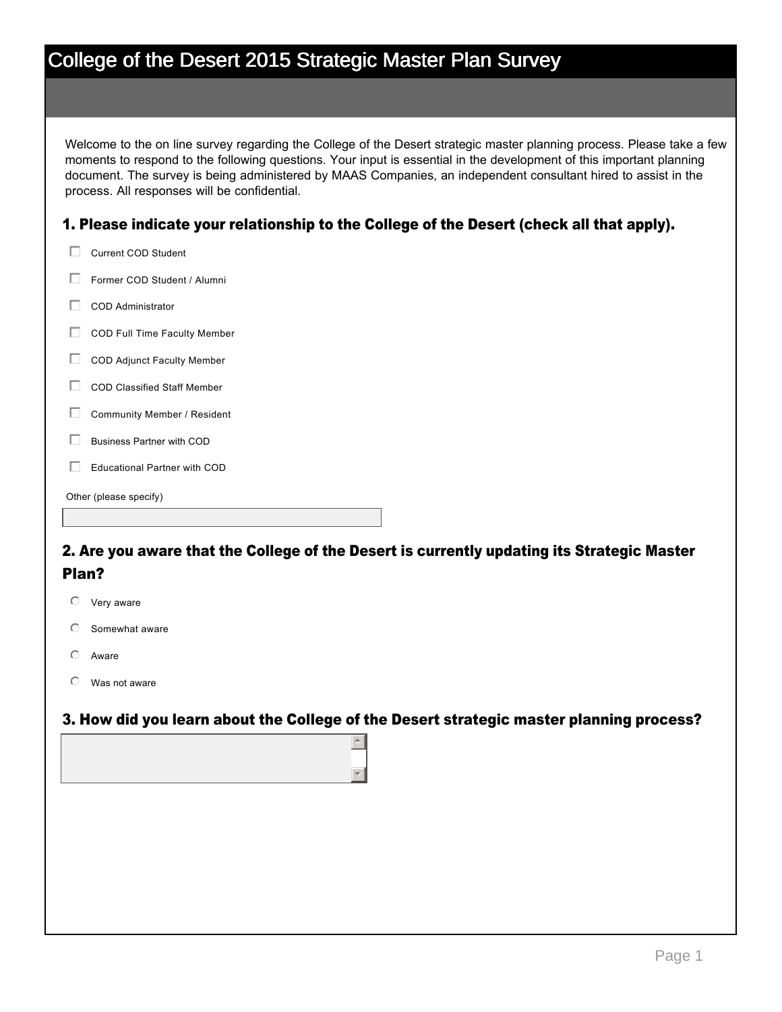| College of the Desert 2015 Strategic Master Plan Survey |  |
|---------------------------------------------------------|--|
|                                                         |  |

Welcome to the on line survey regarding the College of the Desert strategic master planning process. Please take a few moments to respond to the following questions. Your input is essential in the development of this important planning document. The survey is being administered by MAAS Companies, an independent consultant hired to assist in the process. All responses will be confidential.

#### 1. Please indicate your relationship to the College of the Desert (check all that apply).

| Current COD Student               |
|-----------------------------------|
| Former COD Student / Alumni       |
| COD Administrator                 |
| COD Full Time Faculty Member      |
| <b>COD Adjunct Faculty Member</b> |
| COD Classified Staff Member       |
| Community Member / Resident       |

 $\Box$  Business Partner with COD

 $\Box$  Educational Partner with COD

Other (please specify)

#### 2. Are you aware that the College of the Desert is currently updating its Strategic Master Plan?

- $\heartsuit$  Very aware
- $\circ$  Somewhat aware
- Aware
- $\mathbb{C}$  Was not aware

#### 3. How did you learn about the College of the Desert strategic master planning process?

 $\left| \right|$ 

 $\mathbf{v}$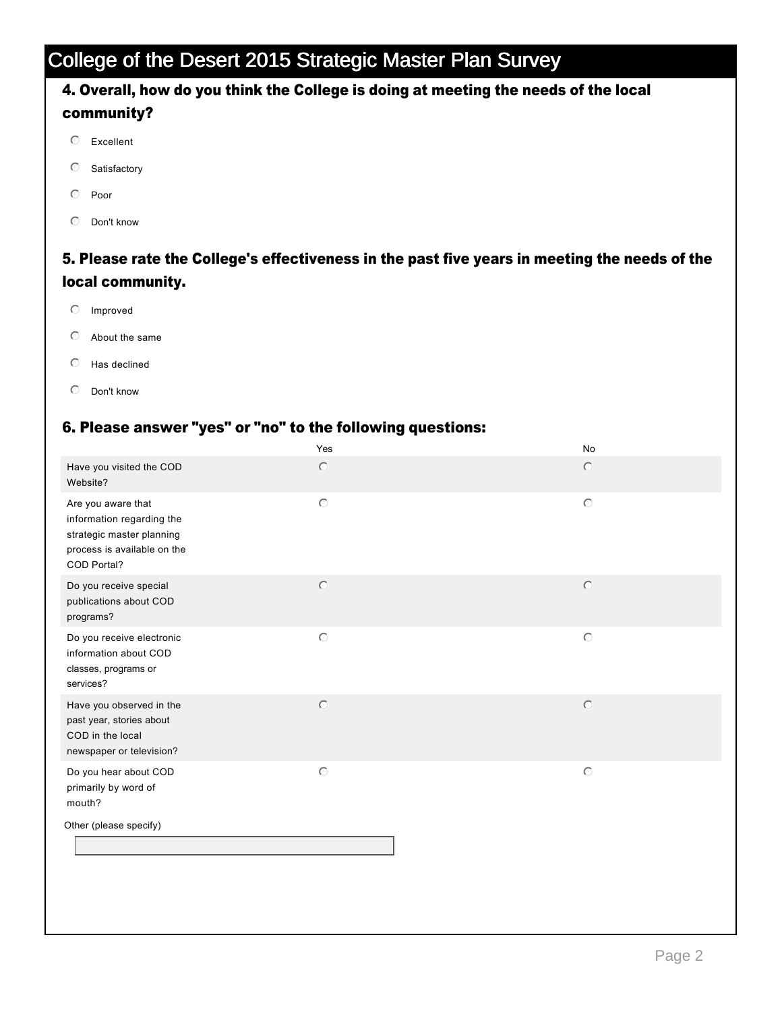### 4. Overall, how do you think the College is doing at meeting the needs of the local community?

- $O$  Excellent
- $\circ$  Satisfactory
- $\odot$  Poor
- $\heartsuit$  Don't know

#### 5. Please rate the College's effectiveness in the past five years in meeting the needs of the local community.

- $O$  Improved
- $\circledcirc$  About the same
- $O$  Has declined
- $O$  Don't know

#### 6. Please answer "yes" or "no" to the following questions:

|                                                                                                                            | Yes            | No                  |  |
|----------------------------------------------------------------------------------------------------------------------------|----------------|---------------------|--|
| Have you visited the COD<br>Website?                                                                                       | $\circ$        | $\circ$             |  |
| Are you aware that<br>information regarding the<br>strategic master planning<br>process is available on the<br>COD Portal? | $\odot$        | $\circlearrowright$ |  |
| Do you receive special<br>publications about COD<br>programs?                                                              | $\circ$        | $\circledcirc$      |  |
| Do you receive electronic<br>information about COD<br>classes, programs or<br>services?                                    | $\odot$        | $\circlearrowright$ |  |
| Have you observed in the<br>past year, stories about<br>COD in the local<br>newspaper or television?                       | $\circledcirc$ | $\circledcirc$      |  |
| Do you hear about COD<br>primarily by word of<br>mouth?                                                                    | $\odot$        | $\circlearrowright$ |  |
| Other (please specify)                                                                                                     |                |                     |  |
|                                                                                                                            |                |                     |  |
|                                                                                                                            |                |                     |  |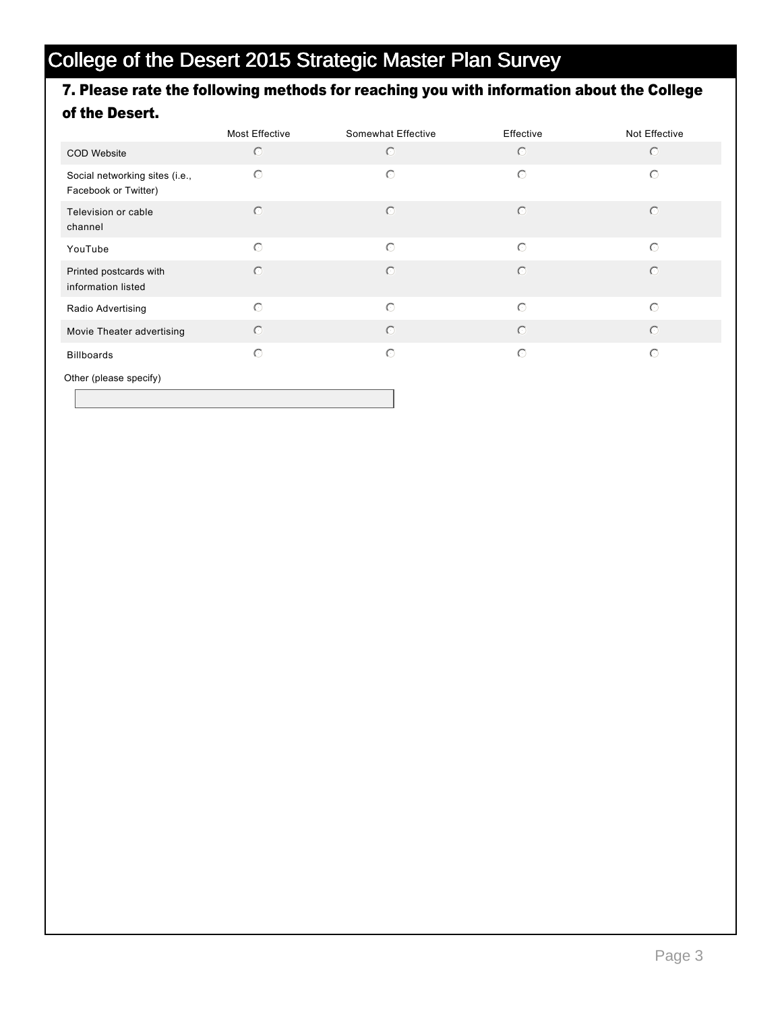### 7. Please rate the following methods for reaching you with information about the College of the Desert.

|                                                        | <b>Most Effective</b> | Somewhat Effective | Effective  | Not Effective |
|--------------------------------------------------------|-----------------------|--------------------|------------|---------------|
| <b>COD Website</b>                                     | $\circ$               | $\circ$            | $\circ$    | $\circ$       |
| Social networking sites (i.e.,<br>Facebook or Twitter) | $\circ$               | $\circ$            | $\bigcirc$ | $\circ$       |
| Television or cable<br>channel                         | $\circ$               | $\odot$            | $\bigcirc$ | $\bigcirc$    |
| YouTube                                                | $\circ$               | $\odot$            | $\bigcirc$ | $\odot$       |
| Printed postcards with<br>information listed           | $\circ$               | $\odot$            | $\bigcirc$ | $\bigcirc$    |
| Radio Advertising                                      | $\circ$               | $\bigcirc$         | $\bigcap$  | $\odot$       |
| Movie Theater advertising                              | $\odot$               | $\odot$            | $\bigcirc$ | $\odot$       |
| <b>Billboards</b>                                      | $\circ$               | $\circ$            | $\bigcirc$ | $\circ$       |
| Other (please specify)                                 |                       |                    |            |               |

Page 3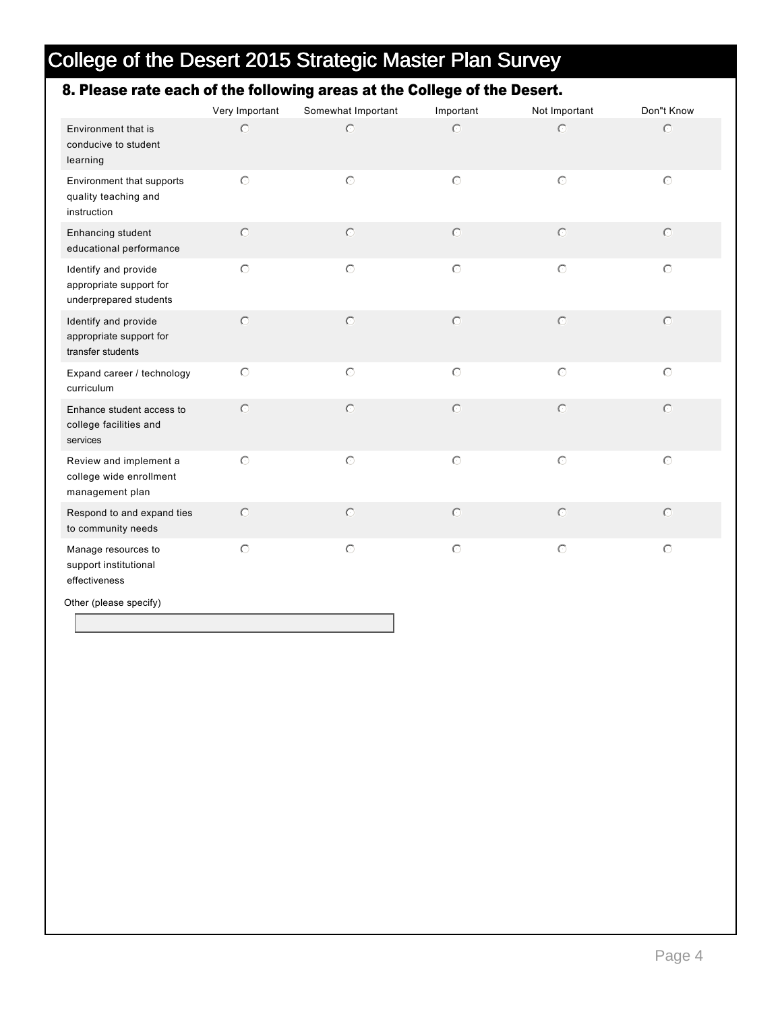### 8. Please rate each of the following areas at the College of the Desert.

|                                                                           | Very Important      | Somewhat Important | Important | Not Important | Don"t Know |
|---------------------------------------------------------------------------|---------------------|--------------------|-----------|---------------|------------|
| Environment that is<br>conducive to student<br>learning                   | $\circ$             | $\circ$            | $\circ$   | $\circ$       | $\circ$    |
| Environment that supports<br>quality teaching and<br>instruction          | $\circ$             | $\circ$            | $\odot$   | $\circ$       | $\odot$    |
| Enhancing student<br>educational performance                              | $\circ$             | $\circ$            | $\circ$   | $\circ$       | $\circ$    |
| Identify and provide<br>appropriate support for<br>underprepared students | $\circlearrowright$ | $\circ$            | $\circ$   | $\circ$       | $\odot$    |
| Identify and provide<br>appropriate support for<br>transfer students      | $\circ$             | $\circ$            | $\circ$   | $\circ$       | $\odot$    |
| Expand career / technology<br>curriculum                                  | $\circ$             | $\circ$            | $\circ$   | $\circ$       | $\circ$    |
| Enhance student access to<br>college facilities and<br>services           | $\bigcirc$          | $\circ$            | $\circ$   | $\circ$       | $\circ$    |
| Review and implement a<br>college wide enrollment<br>management plan      | $\circ$             | $\circ$            | $\circ$   | $\circ$       | $\circ$    |
| Respond to and expand ties<br>to community needs                          | $\circ$             | $\circ$            | $\circ$   | $\circ$       | $\circ$    |
| Manage resources to<br>support institutional<br>effectiveness             | $\circlearrowright$ | $\circ$            | $\circ$   | $\circ$       | $\circ$    |

Other (please specify)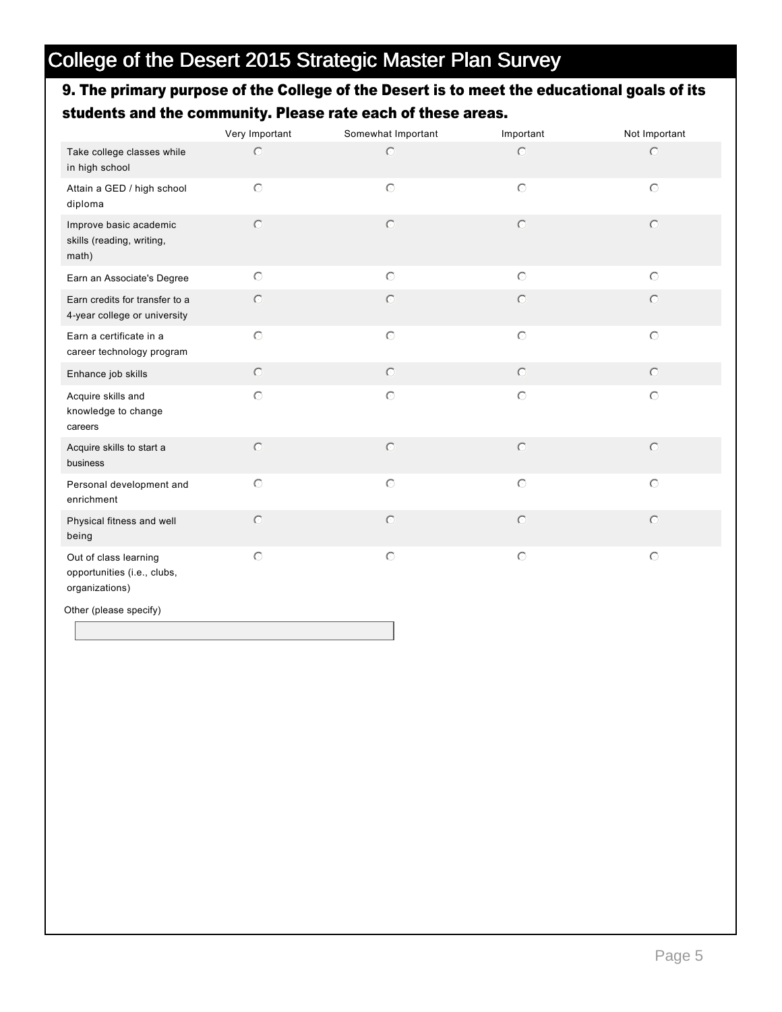### 9. The primary purpose of the College of the Desert is to meet the educational goals of its students and the community. Please rate each of these areas.

|                                                                        | Very Important      | Somewhat Important | Important      | Not Important |
|------------------------------------------------------------------------|---------------------|--------------------|----------------|---------------|
| Take college classes while<br>in high school                           | $\circ$             | $\bigcirc$         | $\circ$        | $\circ$       |
| Attain a GED / high school<br>diploma                                  | $\circ$             | $\circ$            | $\circ$        | $\circ$       |
| Improve basic academic<br>skills (reading, writing,<br>math)           | $\circ$             | $\bigcirc$         | $\circ$        | $\circ$       |
| Earn an Associate's Degree                                             | $\circ$             | $\circ$            | $\circ$        | $\circ$       |
| Earn credits for transfer to a<br>4-year college or university         | $\odot$             | $\circ$            | $\circ$        | $\circ$       |
| Earn a certificate in a<br>career technology program                   | $\circlearrowright$ | $\circ$            | $\circ$        | $\circ$       |
| Enhance job skills                                                     | $\odot$             | $\circ$            | $\circledcirc$ | $\circ$       |
| Acquire skills and<br>knowledge to change<br>careers                   | $\circ$             | $\circ$            | $\circ$        | $\circ$       |
| Acquire skills to start a<br>business                                  | $\circ$             | $\circ$            | $\circ$        | $\circ$       |
| Personal development and<br>enrichment                                 | $\circ$             | $\circ$            | $\circ$        | $\circ$       |
| Physical fitness and well<br>being                                     | $\circ$             | $\bigcirc$         | $\circ$        | $\bigcirc$    |
| Out of class learning<br>opportunities (i.e., clubs,<br>organizations) | $\circ$             | $\circ$            | $\circ$        | $\circ$       |
| Other (please specify)                                                 |                     |                    |                |               |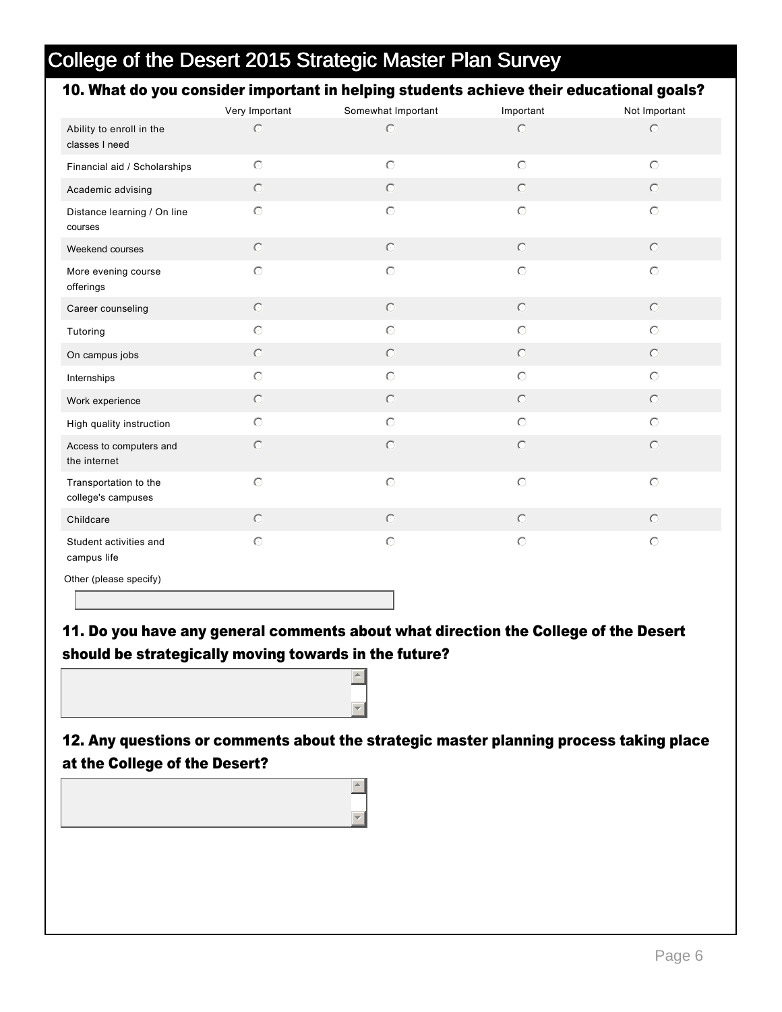#### 10. What do you consider important in helping students achieve their educational goals?

|                                             | Very Important      | Somewhat Important | Important           | Not Important  |
|---------------------------------------------|---------------------|--------------------|---------------------|----------------|
| Ability to enroll in the<br>classes I need  | $\circ$             | $\odot$            | $\circ$             | $\circ$        |
| Financial aid / Scholarships                | $\circ$             | $\circ$            | $\circ$             | $\odot$        |
| Academic advising                           | $\odot$             | $\circledcirc$     | $\circledcirc$      | $\circledcirc$ |
| Distance learning / On line<br>courses      | $\circ$             | $\odot$            | $\circ$             | $\odot$        |
| Weekend courses                             | $\circledcirc$      | $\circledcirc$     | $\circledcirc$      | $\circ$        |
| More evening course<br>offerings            | $\circ$             | $\circ$            | $\circlearrowright$ | $\circ$        |
| Career counseling                           | $\odot$             | $\odot$            | $\circ$             | $\circ$        |
| Tutoring                                    | $\circlearrowright$ | $\odot$            | $\circlearrowright$ | $\circ$        |
| On campus jobs                              | $\circledcirc$      | $\circledcirc$     | $\circledcirc$      | $\circ$        |
| Internships                                 | $\circlearrowright$ | $\odot$            | $\circ$             | $\odot$        |
| Work experience                             | $\circledcirc$      | $\circ$            | $\circ$             | $\circ$        |
| High quality instruction                    | $\circlearrowright$ | $\odot$            | $\circ$             | $\circ$        |
| Access to computers and<br>the internet     | $\circ$             | $\circledcirc$     | $\odot$             | $\circ$        |
| Transportation to the<br>college's campuses | $\circ$             | $\odot$            | $\circ$             | $\circ$        |
| Childcare                                   | $\odot$             | $\odot$            | $\odot$             | $\circ$        |
| Student activities and<br>campus life       | $\circ$             | $\odot$            | $\circlearrowright$ | $\circ$        |
| Other (please specify)                      |                     |                    |                     |                |

11. Do you have any general comments about what direction the College of the Desert should be strategically moving towards in the future?

 $\left| \right|$ 

 $\overline{\mathbf{v}}$ 

 $\triangleq$ 

 $\overline{\mathbf{v}}$ 

12. Any questions or comments about the strategic master planning process taking place at the College of the Desert?